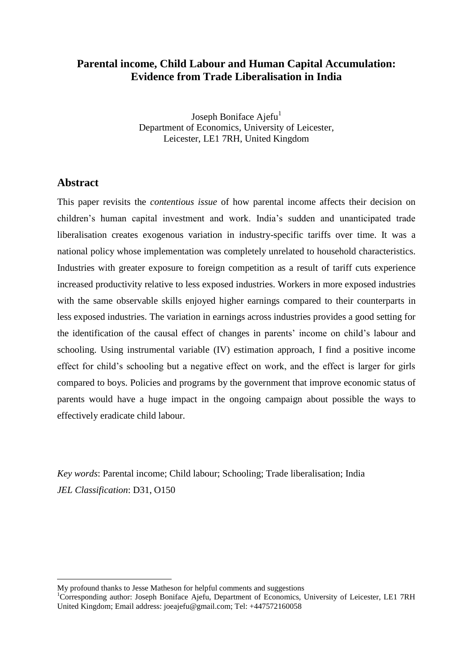# **Parental income, Child Labour and Human Capital Accumulation: Evidence from Trade Liberalisation in India**

Joseph Boniface Ajefu<sup>1</sup> Department of Economics, University of Leicester, Leicester, LE1 7RH, United Kingdom

## **Abstract**

1

This paper revisits the *contentious issue* of how parental income affects their decision on children's human capital investment and work. India's sudden and unanticipated trade liberalisation creates exogenous variation in industry-specific tariffs over time. It was a national policy whose implementation was completely unrelated to household characteristics. Industries with greater exposure to foreign competition as a result of tariff cuts experience increased productivity relative to less exposed industries. Workers in more exposed industries with the same observable skills enjoyed higher earnings compared to their counterparts in less exposed industries. The variation in earnings across industries provides a good setting for the identification of the causal effect of changes in parents' income on child's labour and schooling. Using instrumental variable (IV) estimation approach, I find a positive income effect for child's schooling but a negative effect on work, and the effect is larger for girls compared to boys. Policies and programs by the government that improve economic status of parents would have a huge impact in the ongoing campaign about possible the ways to effectively eradicate child labour.

*Key words*: Parental income; Child labour; Schooling; Trade liberalisation; India *JEL Classification*: D31, O150

My profound thanks to Jesse Matheson for helpful comments and suggestions

<sup>1</sup>Corresponding author: Joseph Boniface Ajefu, Department of Economics, University of Leicester, LE1 7RH United Kingdom; Email address: [joeajefu@gmail.com;](mailto:joeajefu@gmail.com) Tel: +447572160058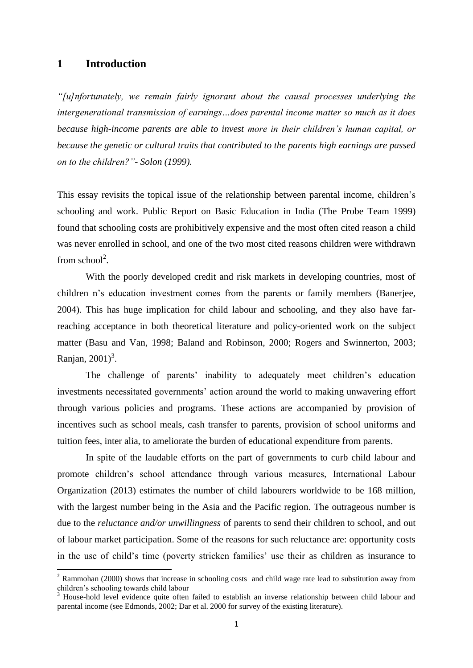#### **1 Introduction**

**.** 

*"[u]nfortunately, we remain fairly ignorant about the causal processes underlying the intergenerational transmission of earnings…does parental income matter so much as it does because high-income parents are able to invest more in their children's human capital, or because the genetic or cultural traits that contributed to the parents high earnings are passed on to the children?"- Solon (1999).*

This essay revisits the topical issue of the relationship between parental income, children's schooling and work. Public Report on Basic Education in India (The Probe Team 1999) found that schooling costs are prohibitively expensive and the most often cited reason a child was never enrolled in school, and one of the two most cited reasons children were withdrawn from school<sup>2</sup>.

With the poorly developed credit and risk markets in developing countries, most of children n's education investment comes from the parents or family members (Banerjee, 2004). This has huge implication for child labour and schooling, and they also have farreaching acceptance in both theoretical literature and policy-oriented work on the subject matter (Basu and Van, 1998; Baland and Robinson, 2000; Rogers and Swinnerton, 2003; Ranjan,  $2001$ <sup>3</sup>.

The challenge of parents' inability to adequately meet children's education investments necessitated governments' action around the world to making unwavering effort through various policies and programs. These actions are accompanied by provision of incentives such as school meals, cash transfer to parents, provision of school uniforms and tuition fees, inter alia, to ameliorate the burden of educational expenditure from parents.

In spite of the laudable efforts on the part of governments to curb child labour and promote children's school attendance through various measures, International Labour Organization (2013) estimates the number of child labourers worldwide to be 168 million, with the largest number being in the Asia and the Pacific region. The outrageous number is due to the *reluctance and/or unwillingness* of parents to send their children to school, and out of labour market participation. Some of the reasons for such reluctance are: opportunity costs in the use of child's time (poverty stricken families' use their as children as insurance to

<sup>&</sup>lt;sup>2</sup> Rammohan (2000) shows that increase in schooling costs and child wage rate lead to substitution away from children's schooling towards child labour

<sup>3</sup> House-hold level evidence quite often failed to establish an inverse relationship between child labour and parental income (see Edmonds, 2002; Dar et al. 2000 for survey of the existing literature).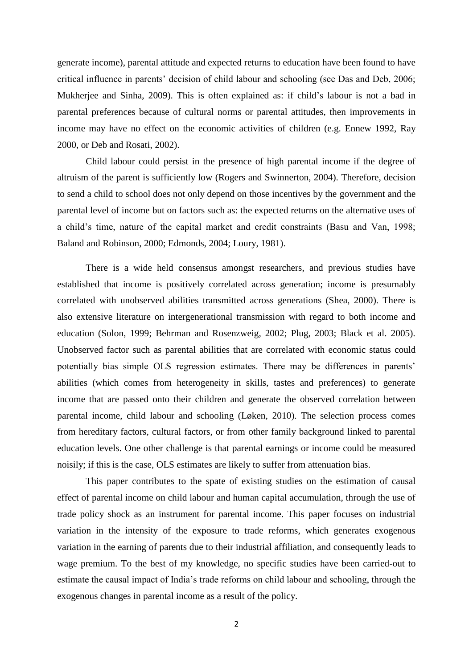generate income), parental attitude and expected returns to education have been found to have critical influence in parents' decision of child labour and schooling (see Das and Deb, 2006; Mukherjee and Sinha, 2009). This is often explained as: if child's labour is not a bad in parental preferences because of cultural norms or parental attitudes, then improvements in income may have no effect on the economic activities of children (e.g. Ennew 1992, Ray 2000, or Deb and Rosati, 2002).

Child labour could persist in the presence of high parental income if the degree of altruism of the parent is sufficiently low (Rogers and Swinnerton, 2004). Therefore, decision to send a child to school does not only depend on those incentives by the government and the parental level of income but on factors such as: the expected returns on the alternative uses of a child's time, nature of the capital market and credit constraints (Basu and Van, 1998; Baland and Robinson, 2000; Edmonds, 2004; Loury, 1981).

There is a wide held consensus amongst researchers, and previous studies have established that income is positively correlated across generation; income is presumably correlated with unobserved abilities transmitted across generations (Shea, 2000). There is also extensive literature on intergenerational transmission with regard to both income and education (Solon, 1999; Behrman and Rosenzweig, 2002; Plug, 2003; Black et al. 2005). Unobserved factor such as parental abilities that are correlated with economic status could potentially bias simple OLS regression estimates. There may be differences in parents' abilities (which comes from heterogeneity in skills, tastes and preferences) to generate income that are passed onto their children and generate the observed correlation between parental income, child labour and schooling (Løken, 2010). The selection process comes from hereditary factors, cultural factors, or from other family background linked to parental education levels. One other challenge is that parental earnings or income could be measured noisily; if this is the case, OLS estimates are likely to suffer from attenuation bias.

This paper contributes to the spate of existing studies on the estimation of causal effect of parental income on child labour and human capital accumulation, through the use of trade policy shock as an instrument for parental income. This paper focuses on industrial variation in the intensity of the exposure to trade reforms, which generates exogenous variation in the earning of parents due to their industrial affiliation, and consequently leads to wage premium. To the best of my knowledge, no specific studies have been carried-out to estimate the causal impact of India's trade reforms on child labour and schooling, through the exogenous changes in parental income as a result of the policy.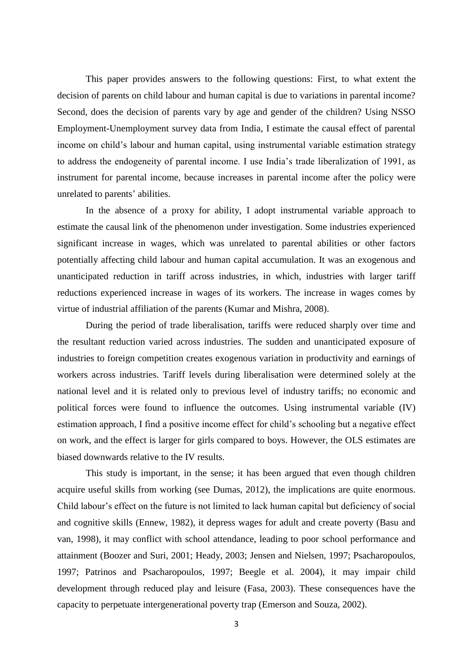This paper provides answers to the following questions: First, to what extent the decision of parents on child labour and human capital is due to variations in parental income? Second, does the decision of parents vary by age and gender of the children? Using NSSO Employment-Unemployment survey data from India, I estimate the causal effect of parental income on child's labour and human capital, using instrumental variable estimation strategy to address the endogeneity of parental income. I use India's trade liberalization of 1991, as instrument for parental income, because increases in parental income after the policy were unrelated to parents' abilities.

In the absence of a proxy for ability, I adopt instrumental variable approach to estimate the causal link of the phenomenon under investigation. Some industries experienced significant increase in wages, which was unrelated to parental abilities or other factors potentially affecting child labour and human capital accumulation. It was an exogenous and unanticipated reduction in tariff across industries, in which, industries with larger tariff reductions experienced increase in wages of its workers. The increase in wages comes by virtue of industrial affiliation of the parents (Kumar and Mishra, 2008).

During the period of trade liberalisation, tariffs were reduced sharply over time and the resultant reduction varied across industries. The sudden and unanticipated exposure of industries to foreign competition creates exogenous variation in productivity and earnings of workers across industries. Tariff levels during liberalisation were determined solely at the national level and it is related only to previous level of industry tariffs; no economic and political forces were found to influence the outcomes. Using instrumental variable (IV) estimation approach, I find a positive income effect for child's schooling but a negative effect on work, and the effect is larger for girls compared to boys. However, the OLS estimates are biased downwards relative to the IV results.

This study is important, in the sense; it has been argued that even though children acquire useful skills from working (see Dumas, 2012), the implications are quite enormous. Child labour's effect on the future is not limited to lack human capital but deficiency of social and cognitive skills (Ennew, 1982), it depress wages for adult and create poverty (Basu and van, 1998), it may conflict with school attendance, leading to poor school performance and attainment (Boozer and Suri, 2001; Heady, 2003; Jensen and Nielsen, 1997; Psacharopoulos, 1997; Patrinos and Psacharopoulos, 1997; Beegle et al. 2004), it may impair child development through reduced play and leisure (Fasa, 2003). These consequences have the capacity to perpetuate intergenerational poverty trap (Emerson and Souza, 2002).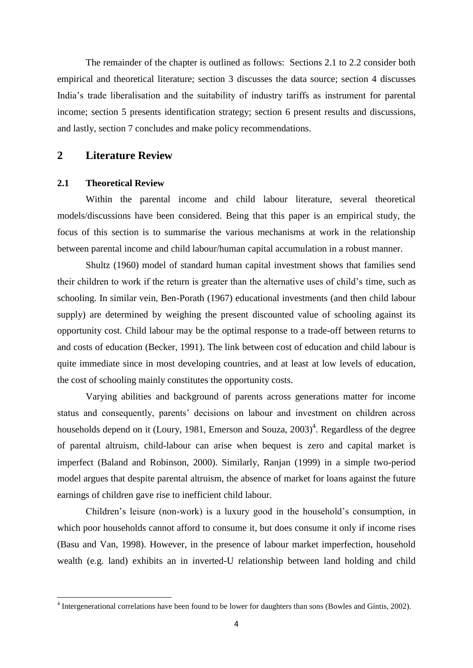The remainder of the chapter is outlined as follows: Sections 2.1 to 2.2 consider both empirical and theoretical literature; section 3 discusses the data source; section 4 discusses India's trade liberalisation and the suitability of industry tariffs as instrument for parental income; section 5 presents identification strategy; section 6 present results and discussions, and lastly, section 7 concludes and make policy recommendations.

#### **2 Literature Review**

#### **2.1 Theoretical Review**

Within the parental income and child labour literature, several theoretical models/discussions have been considered. Being that this paper is an empirical study, the focus of this section is to summarise the various mechanisms at work in the relationship between parental income and child labour/human capital accumulation in a robust manner.

Shultz (1960) model of standard human capital investment shows that families send their children to work if the return is greater than the alternative uses of child's time, such as schooling. In similar vein, Ben-Porath (1967) educational investments (and then child labour supply) are determined by weighing the present discounted value of schooling against its opportunity cost. Child labour may be the optimal response to a trade-off between returns to and costs of education (Becker, 1991). The link between cost of education and child labour is quite immediate since in most developing countries, and at least at low levels of education, the cost of schooling mainly constitutes the opportunity costs.

Varying abilities and background of parents across generations matter for income status and consequently, parents' decisions on labour and investment on children across households depend on it (Loury, 1981, Emerson and Souza,  $2003)^4$ . Regardless of the degree of parental altruism, child-labour can arise when bequest is zero and capital market is imperfect (Baland and Robinson, 2000). Similarly, Ranjan (1999) in a simple two-period model argues that despite parental altruism, the absence of market for loans against the future earnings of children gave rise to inefficient child labour.

Children's leisure (non-work) is a luxury good in the household's consumption, in which poor households cannot afford to consume it, but does consume it only if income rises (Basu and Van, 1998). However, in the presence of labour market imperfection, household wealth (e.g. land) exhibits an in inverted-U relationship between land holding and child

<sup>&</sup>lt;sup>4</sup><br><sup>4</sup> Intergenerational correlations have been found to be lower for daughters than sons (Bowles and Gintis, 2002).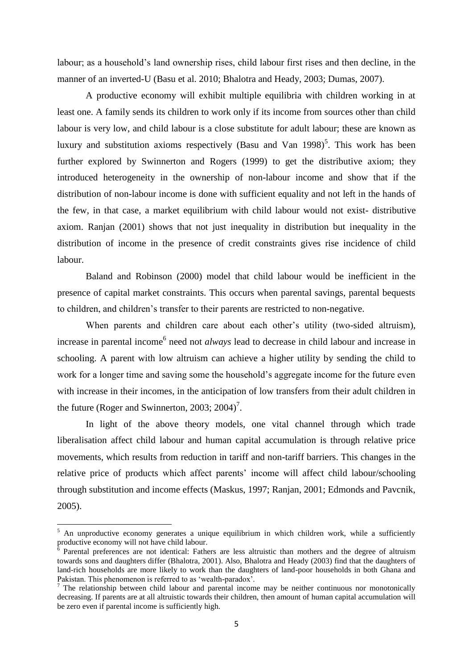labour; as a household's land ownership rises, child labour first rises and then decline, in the manner of an inverted-U (Basu et al. 2010; Bhalotra and Heady, 2003; Dumas, 2007).

A productive economy will exhibit multiple equilibria with children working in at least one. A family sends its children to work only if its income from sources other than child labour is very low, and child labour is a close substitute for adult labour; these are known as luxury and substitution axioms respectively (Basu and Van  $1998$ )<sup>5</sup>. This work has been further explored by Swinnerton and Rogers (1999) to get the distributive axiom; they introduced heterogeneity in the ownership of non-labour income and show that if the distribution of non-labour income is done with sufficient equality and not left in the hands of the few, in that case, a market equilibrium with child labour would not exist- distributive axiom. Ranjan (2001) shows that not just inequality in distribution but inequality in the distribution of income in the presence of credit constraints gives rise incidence of child labour.

Baland and Robinson (2000) model that child labour would be inefficient in the presence of capital market constraints. This occurs when parental savings, parental bequests to children, and children's transfer to their parents are restricted to non-negative.

When parents and children care about each other's utility (two-sided altruism), increase in parental income<sup>6</sup> need not *always* lead to decrease in child labour and increase in schooling. A parent with low altruism can achieve a higher utility by sending the child to work for a longer time and saving some the household's aggregate income for the future even with increase in their incomes, in the anticipation of low transfers from their adult children in the future (Roger and Swinnerton, 2003; 2004)<sup>7</sup>.

In light of the above theory models, one vital channel through which trade liberalisation affect child labour and human capital accumulation is through relative price movements, which results from reduction in tariff and non-tariff barriers. This changes in the relative price of products which affect parents' income will affect child labour/schooling through substitution and income effects (Maskus, 1997; Ranjan, 2001; Edmonds and Pavcnik, 2005).

 $\overline{a}$ 

 $5$  An unproductive economy generates a unique equilibrium in which children work, while a sufficiently productive economy will not have child labour.

 $6$  Parental preferences are not identical: Fathers are less altruistic than mothers and the degree of altruism towards sons and daughters differ (Bhalotra, 2001). Also, Bhalotra and Heady (2003) find that the daughters of land-rich households are more likely to work than the daughters of land-poor households in both Ghana and Pakistan. This phenomenon is referred to as 'wealth-paradox'.

 $<sup>7</sup>$  The relationship between child labour and parental income may be neither continuous nor monotonically</sup> decreasing. If parents are at all altruistic towards their children, then amount of human capital accumulation will be zero even if parental income is sufficiently high.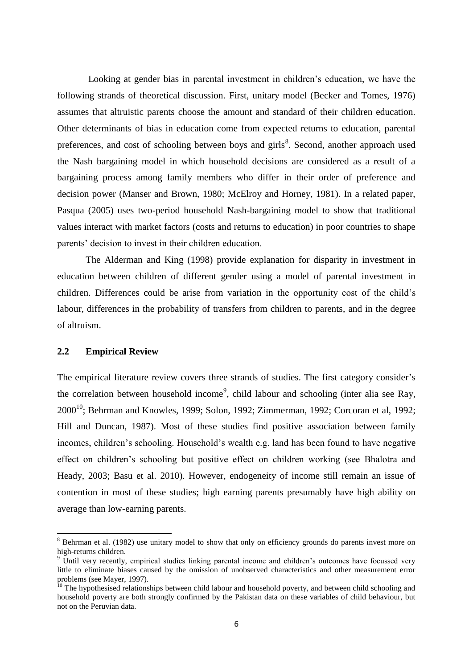Looking at gender bias in parental investment in children's education, we have the following strands of theoretical discussion. First, unitary model (Becker and Tomes, 1976) assumes that altruistic parents choose the amount and standard of their children education. Other determinants of bias in education come from expected returns to education, parental preferences, and cost of schooling between boys and girls<sup>8</sup>. Second, another approach used the Nash bargaining model in which household decisions are considered as a result of a bargaining process among family members who differ in their order of preference and decision power (Manser and Brown, 1980; McElroy and Horney, 1981). In a related paper, Pasqua (2005) uses two-period household Nash-bargaining model to show that traditional values interact with market factors (costs and returns to education) in poor countries to shape parents' decision to invest in their children education.

The Alderman and King (1998) provide explanation for disparity in investment in education between children of different gender using a model of parental investment in children. Differences could be arise from variation in the opportunity cost of the child's labour, differences in the probability of transfers from children to parents, and in the degree of altruism.

#### **2.2 Empirical Review**

**.** 

The empirical literature review covers three strands of studies. The first category consider's the correlation between household income<sup>9</sup>, child labour and schooling (inter alia see Ray,  $2000^{10}$ ; Behrman and Knowles, 1999; Solon, 1992; Zimmerman, 1992; Corcoran et al, 1992; Hill and Duncan, 1987). Most of these studies find positive association between family incomes, children's schooling. Household's wealth e.g. land has been found to have negative effect on children's schooling but positive effect on children working (see Bhalotra and Heady, 2003; Basu et al. 2010). However, endogeneity of income still remain an issue of contention in most of these studies; high earning parents presumably have high ability on average than low-earning parents.

<sup>&</sup>lt;sup>8</sup> Behrman et al. (1982) use unitary model to show that only on efficiency grounds do parents invest more on high-returns children.

<sup>&</sup>lt;sup>9</sup> Until very recently, empirical studies linking parental income and children's outcomes have focussed very little to eliminate biases caused by the omission of unobserved characteristics and other measurement error problems (see Mayer, 1997).

<sup>&</sup>lt;sup>10</sup> The hypothesised relationships between child labour and household poverty, and between child schooling and household poverty are both strongly confirmed by the Pakistan data on these variables of child behaviour, but not on the Peruvian data.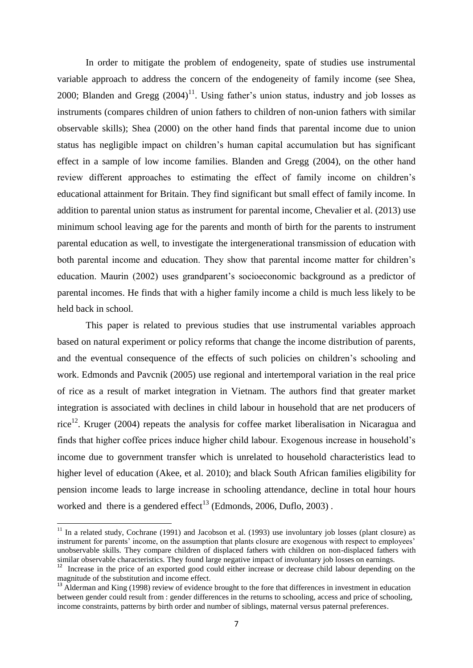In order to mitigate the problem of endogeneity, spate of studies use instrumental variable approach to address the concern of the endogeneity of family income (see Shea, 2000; Blanden and Gregg  $(2004)^{11}$ . Using father's union status, industry and job losses as instruments (compares children of union fathers to children of non-union fathers with similar observable skills); Shea (2000) on the other hand finds that parental income due to union status has negligible impact on children's human capital accumulation but has significant effect in a sample of low income families. Blanden and Gregg (2004), on the other hand review different approaches to estimating the effect of family income on children's educational attainment for Britain. They find significant but small effect of family income. In addition to parental union status as instrument for parental income, Chevalier et al. (2013) use minimum school leaving age for the parents and month of birth for the parents to instrument parental education as well, to investigate the intergenerational transmission of education with both parental income and education. They show that parental income matter for children's education. Maurin (2002) uses grandparent's socioeconomic background as a predictor of parental incomes. He finds that with a higher family income a child is much less likely to be held back in school.

This paper is related to previous studies that use instrumental variables approach based on natural experiment or policy reforms that change the income distribution of parents, and the eventual consequence of the effects of such policies on children's schooling and work. Edmonds and Pavcnik (2005) use regional and intertemporal variation in the real price of rice as a result of market integration in Vietnam. The authors find that greater market integration is associated with declines in child labour in household that are net producers of rice<sup>12</sup>. Kruger (2004) repeats the analysis for coffee market liberalisation in Nicaragua and finds that higher coffee prices induce higher child labour. Exogenous increase in household's income due to government transfer which is unrelated to household characteristics lead to higher level of education (Akee, et al. 2010); and black South African families eligibility for pension income leads to large increase in schooling attendance, decline in total hour hours worked and there is a gendered effect<sup>13</sup> (Edmonds, 2006, Duflo, 2003).

**.** 

 $11$  In a related study, Cochrane (1991) and Jacobson et al. (1993) use involuntary job losses (plant closure) as instrument for parents' income, on the assumption that plants closure are exogenous with respect to employees' unobservable skills. They compare children of displaced fathers with children on non-displaced fathers with similar observable characteristics. They found large negative impact of involuntary job losses on earnings.<br><sup>12</sup> Increase in the price of an experted good could either increase or degreese obild labour depending of

Increase in the price of an exported good could either increase or decrease child labour depending on the magnitude of the substitution and income effect.

 $^{13}$  Alderman and King (1998) review of evidence brought to the fore that differences in investment in education between gender could result from : gender differences in the returns to schooling, access and price of schooling, income constraints, patterns by birth order and number of siblings, maternal versus paternal preferences.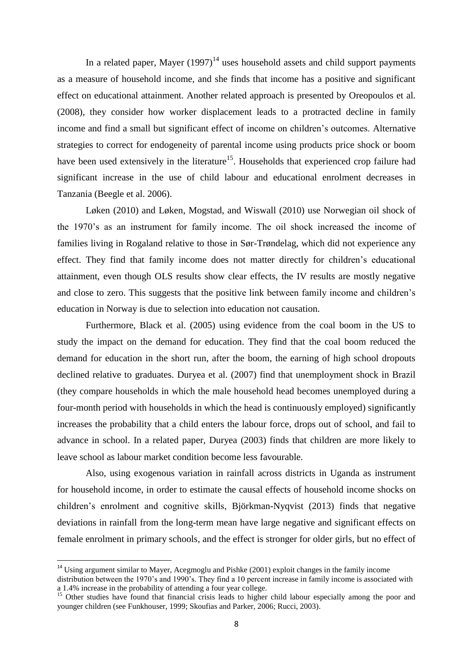In a related paper, Mayer  $(1997)^{14}$  uses household assets and child support payments as a measure of household income, and she finds that income has a positive and significant effect on educational attainment. Another related approach is presented by Oreopoulos et al. (2008), they consider how worker displacement leads to a protracted decline in family income and find a small but significant effect of income on children's outcomes. Alternative strategies to correct for endogeneity of parental income using products price shock or boom have been used extensively in the literature<sup>15</sup>. Households that experienced crop failure had significant increase in the use of child labour and educational enrolment decreases in Tanzania (Beegle et al. 2006).

Løken (2010) and Løken, Mogstad, and Wiswall (2010) use Norwegian oil shock of the 1970's as an instrument for family income. The oil shock increased the income of families living in Rogaland relative to those in Sør-Trøndelag, which did not experience any effect. They find that family income does not matter directly for children's educational attainment, even though OLS results show clear effects, the IV results are mostly negative and close to zero. This suggests that the positive link between family income and children's education in Norway is due to selection into education not causation.

Furthermore, Black et al. (2005) using evidence from the coal boom in the US to study the impact on the demand for education. They find that the coal boom reduced the demand for education in the short run, after the boom, the earning of high school dropouts declined relative to graduates. Duryea et al. (2007) find that unemployment shock in Brazil (they compare households in which the male household head becomes unemployed during a four-month period with households in which the head is continuously employed) significantly increases the probability that a child enters the labour force, drops out of school, and fail to advance in school. In a related paper, Duryea (2003) finds that children are more likely to leave school as labour market condition become less favourable.

Also, using exogenous variation in rainfall across districts in Uganda as instrument for household income, in order to estimate the causal effects of household income shocks on children's enrolment and cognitive skills, [Björkman-Nyqvist](http://www.sciencedirect.com/science/article/pii/S0304387813001120) (2013) finds that negative deviations in rainfall from the long-term mean have large negative and significant effects on female enrolment in primary schools, and the effect is stronger for older girls, but no effect of

1

<sup>&</sup>lt;sup>14</sup> Using argument similar to Mayer, Acegmoglu and Pishke (2001) exploit changes in the family income distribution between the 1970's and 1990's. They find a 10 percent increase in family income is associated with a 1.4% increase in the probability of attending a four year college.

<sup>&</sup>lt;sup>15</sup> Other studies have found that financial crisis leads to higher child labour especially among the poor and <sup>15</sup> younger children (see Funkhouser, 1999; Skoufias and Parker, 2006; Rucci, 2003).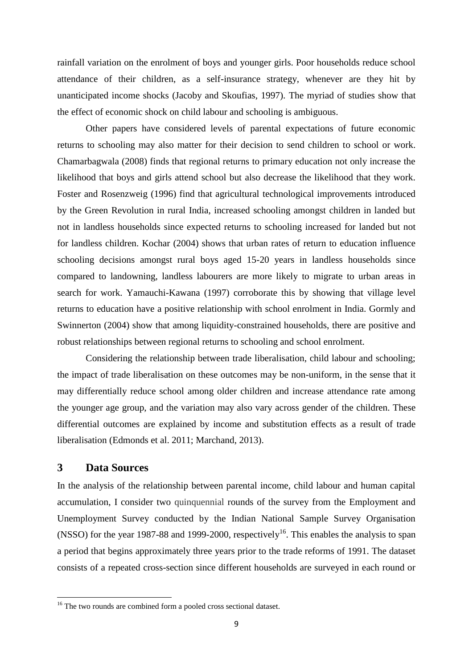rainfall variation on the enrolment of boys and younger girls. Poor households reduce school attendance of their children, as a self-insurance strategy, whenever are they hit by unanticipated income shocks (Jacoby and Skoufias, 1997). The myriad of studies show that the effect of economic shock on child labour and schooling is ambiguous.

Other papers have considered levels of parental expectations of future economic returns to schooling may also matter for their decision to send children to school or work. Chamarbagwala (2008) finds that regional returns to primary education not only increase the likelihood that boys and girls attend school but also decrease the likelihood that they work. Foster and Rosenzweig (1996) find that agricultural technological improvements introduced by the Green Revolution in rural India, increased schooling amongst children in landed but not in landless households since expected returns to schooling increased for landed but not for landless children. Kochar (2004) shows that urban rates of return to education influence schooling decisions amongst rural boys aged 15-20 years in landless households since compared to landowning, landless labourers are more likely to migrate to urban areas in search for work. Yamauchi-Kawana (1997) corroborate this by showing that village level returns to education have a positive relationship with school enrolment in India. Gormly and Swinnerton (2004) show that among liquidity-constrained households, there are positive and robust relationships between regional returns to schooling and school enrolment.

Considering the relationship between trade liberalisation, child labour and schooling; the impact of trade liberalisation on these outcomes may be non-uniform, in the sense that it may differentially reduce school among older children and increase attendance rate among the younger age group, and the variation may also vary across gender of the children. These differential outcomes are explained by income and substitution effects as a result of trade liberalisation (Edmonds et al. 2011; Marchand, 2013).

# **3 Data Sources**

**.** 

In the analysis of the relationship between parental income, child labour and human capital accumulation, I consider two quinquennial rounds of the survey from the Employment and Unemployment Survey conducted by the Indian National Sample Survey Organisation (NSSO) for the year 1987-88 and 1999-2000, respectively<sup>16</sup>. This enables the analysis to span a period that begins approximately three years prior to the trade reforms of 1991. The dataset consists of a repeated cross-section since different households are surveyed in each round or

 $16$ <sup>16</sup> The two rounds are combined form a pooled cross sectional dataset.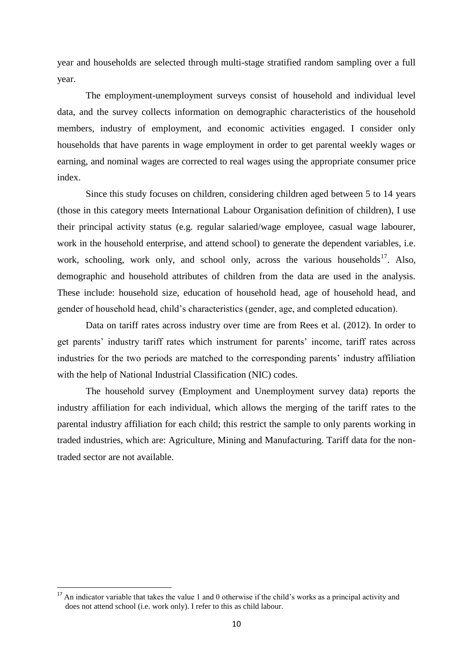year and households are selected through multi-stage stratified random sampling over a full year.

The employment-unemployment surveys consist of household and individual level data, and the survey collects information on demographic characteristics of the household members, industry of employment, and economic activities engaged. I consider only households that have parents in wage employment in order to get parental weekly wages or earning, and nominal wages are corrected to real wages using the appropriate consumer price index.

Since this study focuses on children, considering children aged between 5 to 14 years (those in this category meets International Labour Organisation definition of children), I use their principal activity status (e.g. regular salaried/wage employee, casual wage labourer, work in the household enterprise, and attend school) to generate the dependent variables, i.e. work, schooling, work only, and school only, across the various households<sup>17</sup>. Also, demographic and household attributes of children from the data are used in the analysis. These include: household size, education of household head, age of household head, and gender of household head, child's characteristics (gender, age, and completed education).

Data on tariff rates across industry over time are from Rees et al. (2012). In order to get parents' industry tariff rates which instrument for parents' income, tariff rates across industries for the two periods are matched to the corresponding parents' industry affiliation with the help of National Industrial Classification (NIC) codes.

The household survey (Employment and Unemployment survey data) reports the industry affiliation for each individual, which allows the merging of the tariff rates to the parental industry affiliation for each child; this restrict the sample to only parents working in traded industries, which are: Agriculture, Mining and Manufacturing. Tariff data for the nontraded sector are not available.

**.** 

 $17$  An indicator variable that takes the value 1 and 0 otherwise if the child's works as a principal activity and does not attend school (i.e. work only). I refer to this as child labour.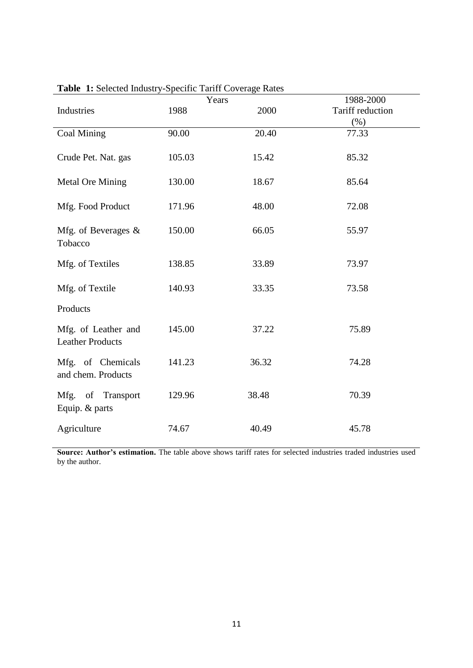|                                                |        | Years | 1988-2000        |
|------------------------------------------------|--------|-------|------------------|
| Industries                                     | 1988   | 2000  | Tariff reduction |
|                                                |        |       | $(\% )$          |
| <b>Coal Mining</b>                             | 90.00  | 20.40 | 77.33            |
| Crude Pet. Nat. gas                            | 105.03 | 15.42 | 85.32            |
| <b>Metal Ore Mining</b>                        | 130.00 | 18.67 | 85.64            |
| Mfg. Food Product                              | 171.96 | 48.00 | 72.08            |
| Mfg. of Beverages &<br>Tobacco                 | 150.00 | 66.05 | 55.97            |
| Mfg. of Textiles                               | 138.85 | 33.89 | 73.97            |
| Mfg. of Textile                                | 140.93 | 33.35 | 73.58            |
| Products                                       |        |       |                  |
| Mfg. of Leather and<br><b>Leather Products</b> | 145.00 | 37.22 | 75.89            |
| Mfg. of Chemicals<br>and chem. Products        | 141.23 | 36.32 | 74.28            |
| Mfg. of Transport<br>Equip. & parts            | 129.96 | 38.48 | 70.39            |
| Agriculture                                    | 74.67  | 40.49 | 45.78            |

**Table 1:** Selected Industry-Specific Tariff Coverage Rates

**Source: Author's estimation.** The table above shows tariff rates for selected industries traded industries used by the author.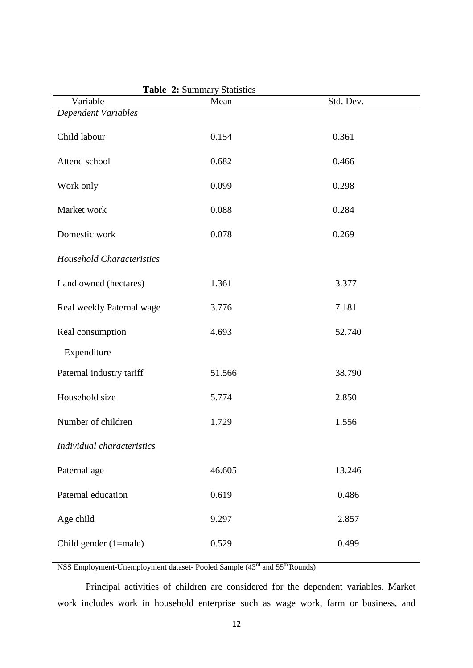| <b>Table <math>\boldsymbol{\Sigma}</math>:</b> Summary Statistics |        |           |  |  |  |
|-------------------------------------------------------------------|--------|-----------|--|--|--|
| Variable                                                          | Mean   | Std. Dev. |  |  |  |
| Dependent Variables                                               |        |           |  |  |  |
| Child labour                                                      | 0.154  | 0.361     |  |  |  |
| Attend school                                                     | 0.682  | 0.466     |  |  |  |
| Work only                                                         | 0.099  | 0.298     |  |  |  |
| Market work                                                       | 0.088  | 0.284     |  |  |  |
| Domestic work                                                     | 0.078  | 0.269     |  |  |  |
| <b>Household Characteristics</b>                                  |        |           |  |  |  |
| Land owned (hectares)                                             | 1.361  | 3.377     |  |  |  |
| Real weekly Paternal wage                                         | 3.776  | 7.181     |  |  |  |
| Real consumption                                                  | 4.693  | 52.740    |  |  |  |
| Expenditure                                                       |        |           |  |  |  |
| Paternal industry tariff                                          | 51.566 | 38.790    |  |  |  |
| Household size                                                    | 5.774  | 2.850     |  |  |  |
| Number of children                                                | 1.729  | 1.556     |  |  |  |
| Individual characteristics                                        |        |           |  |  |  |
| Paternal age                                                      | 46.605 | 13.246    |  |  |  |
| Paternal education                                                | 0.619  | 0.486     |  |  |  |
| Age child                                                         | 9.297  | 2.857     |  |  |  |
| Child gender (1=male)                                             | 0.529  | 0.499     |  |  |  |

**Table 2:** Summary Statistics

NSS Employment-Unemployment dataset- Pooled Sample (43<sup>rd</sup> and 55<sup>th</sup> Rounds)

Principal activities of children are considered for the dependent variables. Market work includes work in household enterprise such as wage work, farm or business, and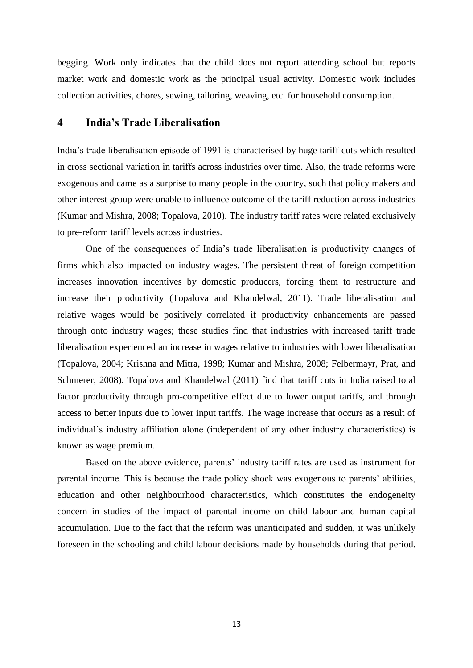begging. Work only indicates that the child does not report attending school but reports market work and domestic work as the principal usual activity. Domestic work includes collection activities, chores, sewing, tailoring, weaving, etc. for household consumption.

## **4 India's Trade Liberalisation**

India's trade liberalisation episode of 1991 is characterised by huge tariff cuts which resulted in cross sectional variation in tariffs across industries over time. Also, the trade reforms were exogenous and came as a surprise to many people in the country, such that policy makers and other interest group were unable to influence outcome of the tariff reduction across industries (Kumar and Mishra, 2008; Topalova, 2010). The industry tariff rates were related exclusively to pre-reform tariff levels across industries.

One of the consequences of India's trade liberalisation is productivity changes of firms which also impacted on industry wages. The persistent threat of foreign competition increases innovation incentives by domestic producers, forcing them to restructure and increase their productivity (Topalova and Khandelwal, 2011). Trade liberalisation and relative wages would be positively correlated if productivity enhancements are passed through onto industry wages; these studies find that industries with increased tariff trade liberalisation experienced an increase in wages relative to industries with lower liberalisation (Topalova, 2004; Krishna and Mitra, 1998; Kumar and Mishra, 2008; Felbermayr, Prat, and Schmerer, 2008). Topalova and Khandelwal (2011) find that tariff cuts in India raised total factor productivity through pro-competitive effect due to lower output tariffs, and through access to better inputs due to lower input tariffs. The wage increase that occurs as a result of individual's industry affiliation alone (independent of any other industry characteristics) is known as wage premium.

Based on the above evidence, parents' industry tariff rates are used as instrument for parental income. This is because the trade policy shock was exogenous to parents' abilities, education and other neighbourhood characteristics, which constitutes the endogeneity concern in studies of the impact of parental income on child labour and human capital accumulation. Due to the fact that the reform was unanticipated and sudden, it was unlikely foreseen in the schooling and child labour decisions made by households during that period.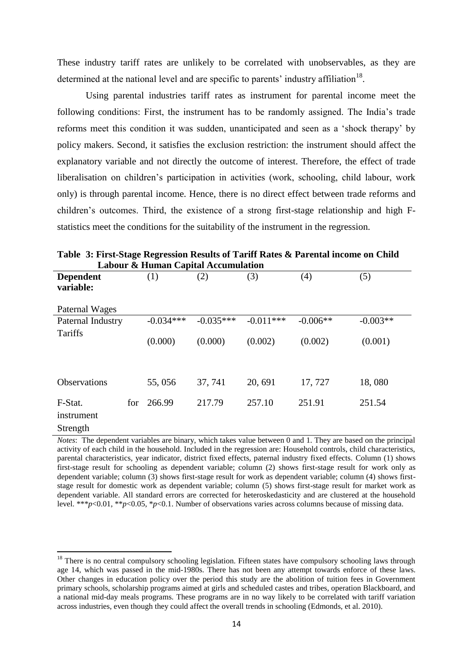These industry tariff rates are unlikely to be correlated with unobservables, as they are determined at the national level and are specific to parents' industry affiliation<sup>18</sup>.

Using parental industries tariff rates as instrument for parental income meet the following conditions: First, the instrument has to be randomly assigned. The India's trade reforms meet this condition it was sudden, unanticipated and seen as a 'shock therapy' by policy makers. Second, it satisfies the exclusion restriction: the instrument should affect the explanatory variable and not directly the outcome of interest. Therefore, the effect of trade liberalisation on children's participation in activities (work, schooling, child labour, work only) is through parental income. Hence, there is no direct effect between trade reforms and children's outcomes. Third, the existence of a strong first-stage relationship and high Fstatistics meet the conditions for the suitability of the instrument in the regression.

| Labour & Human Capital Accumulation |     |                  |             |             |            |            |
|-------------------------------------|-----|------------------|-------------|-------------|------------|------------|
| <b>Dependent</b>                    |     | $\left(1\right)$ | (2)         | (3)         | (4)        | (5)        |
| variable:                           |     |                  |             |             |            |            |
| Paternal Wages                      |     |                  |             |             |            |            |
| Paternal Industry                   |     | $-0.034***$      | $-0.035***$ | $-0.011***$ | $-0.006**$ | $-0.003**$ |
| <b>Tariffs</b>                      |     | (0.000)          | (0.000)     | (0.002)     | (0.002)    | (0.001)    |
| Observations                        |     | 55,056           | 37, 741     | 20, 691     | 17,727     | 18,080     |
| F-Stat.<br>instrument<br>Strength   | for | 266.99           | 217.79      | 257.10      | 251.91     | 251.54     |

**Table 3: First-Stage Regression Results of Tariff Rates & Parental income on Child** 

*Notes*: The dependent variables are binary, which takes value between 0 and 1. They are based on the principal activity of each child in the household. Included in the regression are: Household controls, child characteristics, parental characteristics, year indicator, district fixed effects, paternal industry fixed effects. Column (1) shows first-stage result for schooling as dependent variable; column (2) shows first-stage result for work only as dependent variable; column (3) shows first-stage result for work as dependent variable; column (4) shows firststage result for domestic work as dependent variable; column (5) shows first-stage result for market work as dependent variable. All standard errors are corrected for heteroskedasticity and are clustered at the household level. \*\*\**p*<0.01, \*\**p*<0.05, \**p*<0.1. Number of observations varies across columns because of missing data.

1

<sup>&</sup>lt;sup>18</sup> There is no central compulsory schooling legislation. Fifteen states have compulsory schooling laws through age 14, which was passed in the mid-1980s. There has not been any attempt towards enforce of these laws. Other changes in education policy over the period this study are the abolition of tuition fees in Government primary schools, scholarship programs aimed at girls and scheduled castes and tribes, operation Blackboard, and a national mid-day meals programs. These programs are in no way likely to be correlated with tariff variation across industries, even though they could affect the overall trends in schooling (Edmonds, et al. 2010).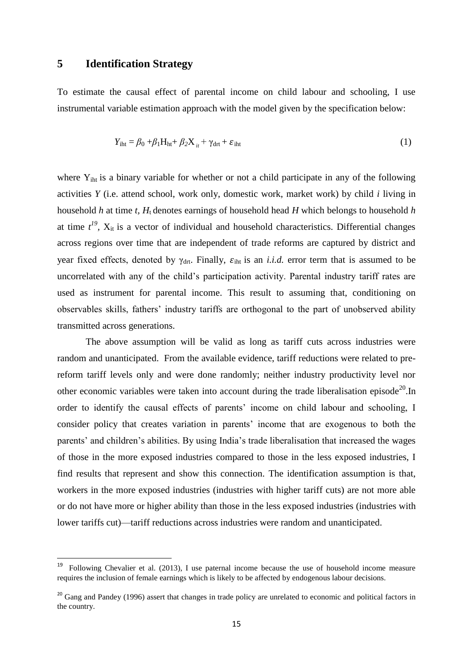## **5 Identification Strategy**

**.** 

To estimate the causal effect of parental income on child labour and schooling, I use instrumental variable estimation approach with the model given by the specification below:

$$
Y_{\text{int}} = \beta_0 + \beta_1 H_{\text{ht}} + \beta_2 X_{it} + \gamma_{\text{drt}} + \varepsilon_{\text{int}}
$$
 (1)

where  $Y_{\text{int}}$  is a binary variable for whether or not a child participate in any of the following activities *Y* (i.e. attend school, work only, domestic work, market work) by child *i* living in household *h* at time *t, H*t denotes earnings of household head *H* which belongs to household *h* at time  $t^{19}$ ,  $X_{it}$  is a vector of individual and household characteristics. Differential changes across regions over time that are independent of trade reforms are captured by district and year fixed effects, denoted by  $\gamma_{\text{drt}}$ . Finally,  $\varepsilon_{\text{int}}$  is an *i.i.d.* error term that is assumed to be uncorrelated with any of the child's participation activity. Parental industry tariff rates are used as instrument for parental income. This result to assuming that, conditioning on observables skills, fathers' industry tariffs are orthogonal to the part of unobserved ability transmitted across generations.

The above assumption will be valid as long as tariff cuts across industries were random and unanticipated. From the available evidence, tariff reductions were related to prereform tariff levels only and were done randomly; neither industry productivity level nor other economic variables were taken into account during the trade liberalisation episode<sup>20</sup>. In order to identify the causal effects of parents' income on child labour and schooling, I consider policy that creates variation in parents' income that are exogenous to both the parents' and children's abilities. By using India's trade liberalisation that increased the wages of those in the more exposed industries compared to those in the less exposed industries, I find results that represent and show this connection. The identification assumption is that, workers in the more exposed industries (industries with higher tariff cuts) are not more able or do not have more or higher ability than those in the less exposed industries (industries with lower tariffs cut)—tariff reductions across industries were random and unanticipated.

<sup>19</sup> Following Chevalier et al. (2013), I use paternal income because the use of household income measure requires the inclusion of female earnings which is likely to be affected by endogenous labour decisions.

<sup>&</sup>lt;sup>20</sup> Gang and Pandey (1996) assert that changes in trade policy are unrelated to economic and political factors in the country.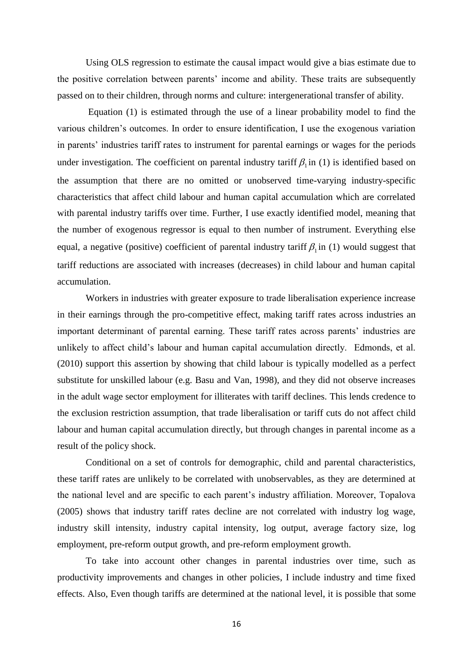Using OLS regression to estimate the causal impact would give a bias estimate due to the positive correlation between parents' income and ability. These traits are subsequently passed on to their children, through norms and culture: intergenerational transfer of ability.

Equation (1) is estimated through the use of a linear probability model to find the various children's outcomes. In order to ensure identification, I use the exogenous variation in parents' industries tariff rates to instrument for parental earnings or wages for the periods under investigation. The coefficient on parental industry tariff  $\beta$ <sub>1</sub> in (1) is identified based on the assumption that there are no omitted or unobserved time-varying industry-specific characteristics that affect child labour and human capital accumulation which are correlated with parental industry tariffs over time. Further, I use exactly identified model, meaning that the number of exogenous regressor is equal to then number of instrument. Everything else equal, a negative (positive) coefficient of parental industry tariff  $\beta_1$  in (1) would suggest that tariff reductions are associated with increases (decreases) in child labour and human capital accumulation.

Workers in industries with greater exposure to trade liberalisation experience increase in their earnings through the pro-competitive effect, making tariff rates across industries an important determinant of parental earning. These tariff rates across parents' industries are unlikely to affect child's labour and human capital accumulation directly. Edmonds, et al. (2010) support this assertion by showing that child labour is typically modelled as a perfect substitute for unskilled labour (e.g. Basu and Van, 1998), and they did not observe increases in the adult wage sector employment for illiterates with tariff declines. This lends credence to the exclusion restriction assumption, that trade liberalisation or tariff cuts do not affect child labour and human capital accumulation directly, but through changes in parental income as a result of the policy shock.

Conditional on a set of controls for demographic, child and parental characteristics, these tariff rates are unlikely to be correlated with unobservables, as they are determined at the national level and are specific to each parent's industry affiliation. Moreover, Topalova (2005) shows that industry tariff rates decline are not correlated with industry log wage, industry skill intensity, industry capital intensity, log output, average factory size, log employment, pre-reform output growth, and pre-reform employment growth.

To take into account other changes in parental industries over time, such as productivity improvements and changes in other policies, I include industry and time fixed effects. Also, Even though tariffs are determined at the national level, it is possible that some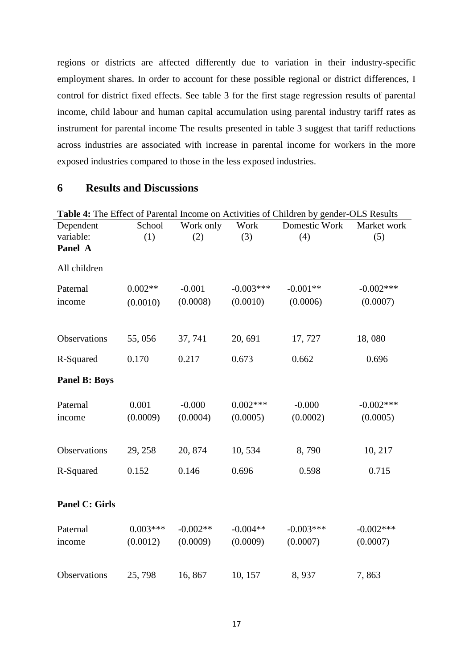regions or districts are affected differently due to variation in their industry-specific employment shares. In order to account for these possible regional or district differences, I control for district fixed effects. See table 3 for the first stage regression results of parental income, child labour and human capital accumulation using parental industry tariff rates as instrument for parental income The results presented in table 3 suggest that tariff reductions across industries are associated with increase in parental income for workers in the more exposed industries compared to those in the less exposed industries.

# **6 Results and Discussions**

| Table 4: The Effect of Parental Income on Activities of Children by gender-OLS Results |            |            |             |               |              |  |  |
|----------------------------------------------------------------------------------------|------------|------------|-------------|---------------|--------------|--|--|
| Dependent                                                                              | School     | Work only  | Work        | Domestic Work | Market work  |  |  |
| variable:                                                                              | (1)        | (2)        | (3)         | (4)           | (5)          |  |  |
| Panel A                                                                                |            |            |             |               |              |  |  |
| All children                                                                           |            |            |             |               |              |  |  |
| Paternal                                                                               | $0.002**$  | $-0.001$   | $-0.003***$ | $-0.001**$    | $-0.002***$  |  |  |
| income                                                                                 | (0.0010)   | (0.0008)   | (0.0010)    | (0.0006)      | (0.0007)     |  |  |
|                                                                                        |            |            |             |               |              |  |  |
| Observations                                                                           | 55,056     | 37, 741    | 20, 691     | 17,727        | 18,080       |  |  |
| R-Squared                                                                              | 0.170      | 0.217      | 0.673       | 0.662         | 0.696        |  |  |
| <b>Panel B: Boys</b>                                                                   |            |            |             |               |              |  |  |
| Paternal                                                                               | 0.001      | $-0.000$   | $0.002***$  | $-0.000$      | $-0.002$ *** |  |  |
| income                                                                                 | (0.0009)   | (0.0004)   | (0.0005)    | (0.0002)      | (0.0005)     |  |  |
| Observations                                                                           | 29, 258    | 20, 874    | 10,534      | 8,790         | 10, 217      |  |  |
| R-Squared                                                                              | 0.152      | 0.146      | 0.696       | 0.598         | 0.715        |  |  |
|                                                                                        |            |            |             |               |              |  |  |
| <b>Panel C: Girls</b>                                                                  |            |            |             |               |              |  |  |
| Paternal                                                                               | $0.003***$ | $-0.002**$ | $-0.004**$  | $-0.003***$   | $-0.002$ *** |  |  |
| income                                                                                 | (0.0012)   | (0.0009)   | (0.0009)    | (0.0007)      | (0.0007)     |  |  |
|                                                                                        |            |            |             |               |              |  |  |
| Observations                                                                           | 25,798     | 16,867     | 10, 157     | 8,937         | 7,863        |  |  |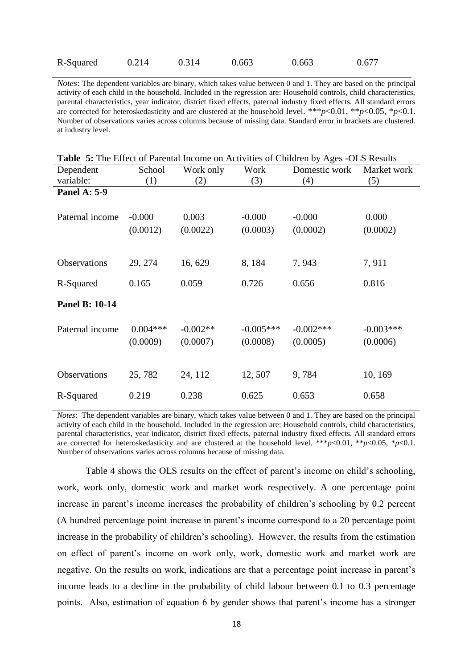| R-Squared<br>0.663<br>0.663<br>0.314<br>0.214 | 0.677 |
|-----------------------------------------------|-------|
|-----------------------------------------------|-------|

*Notes*: The dependent variables are binary, which takes value between 0 and 1. They are based on the principal activity of each child in the household. Included in the regression are: Household controls, child characteristics, parental characteristics, year indicator, district fixed effects, paternal industry fixed effects. All standard errors are corrected for heteroskedasticity and are clustered at the household level. \*\*\**p*<0.01, \*\**p*<0.05, \**p*<0.1. Number of observations varies across columns because of missing data. Standard error in brackets are clustered. at industry level.

|  |  | Table 5: The Effect of Parental Income on Activities of Children by Ages -OLS Results |  |
|--|--|---------------------------------------------------------------------------------------|--|
|  |  |                                                                                       |  |

| Dependent           | School     | Work only  | Work        | Domestic work | Market work |
|---------------------|------------|------------|-------------|---------------|-------------|
| variable:           | (1)        | (2)        | (3)         | (4)           | (5)         |
| <b>Panel A: 5-9</b> |            |            |             |               |             |
|                     |            |            |             |               |             |
| Paternal income     | $-0.000$   | 0.003      | $-0.000$    | $-0.000$      | 0.000       |
|                     | (0.0012)   | (0.0022)   | (0.0003)    | (0.0002)      | (0.0002)    |
|                     |            |            |             |               |             |
|                     |            |            |             |               |             |
| Observations        | 29, 274    | 16,629     | 8, 184      | 7,943         | 7,911       |
|                     |            |            |             |               |             |
| R-Squared           | 0.165      | 0.059      | 0.726       | 0.656         | 0.816       |
| Panel B: 10-14      |            |            |             |               |             |
|                     |            |            |             |               |             |
| Paternal income     | $0.004***$ | $-0.002**$ | $-0.005***$ | $-0.002$ ***  | $-0.003***$ |
|                     | (0.0009)   | (0.0007)   | (0.0008)    | (0.0005)      | (0.0006)    |
|                     |            |            |             |               |             |
|                     |            |            |             |               |             |
| Observations        | 25,782     | 24, 112    | 12, 507     | 9,784         | 10, 169     |
|                     |            |            |             |               |             |
| R-Squared           | 0.219      | 0.238      | 0.625       | 0.653         | 0.658       |

*Notes*: The dependent variables are binary, which takes value between 0 and 1. They are based on the principal activity of each child in the household. Included in the regression are: Household controls, child characteristics, parental characteristics, year indicator, district fixed effects, paternal industry fixed effects. All standard errors are corrected for heteroskedasticity and are clustered at the household level. \*\*\**p*<0.01, \*\**p*<0.05, \**p*<0.1. Number of observations varies across columns because of missing data.

Table 4 shows the OLS results on the effect of parent's income on child's schooling, work, work only, domestic work and market work respectively. A one percentage point increase in parent's income increases the probability of children's schooling by 0.2 percent (A hundred percentage point increase in parent's income correspond to a 20 percentage point increase in the probability of children's schooling). However, the results from the estimation on effect of parent's income on work only, work, domestic work and market work are negative. On the results on work, indications are that a percentage point increase in parent's income leads to a decline in the probability of child labour between 0.1 to 0.3 percentage points. Also, estimation of equation 6 by gender shows that parent's income has a stronger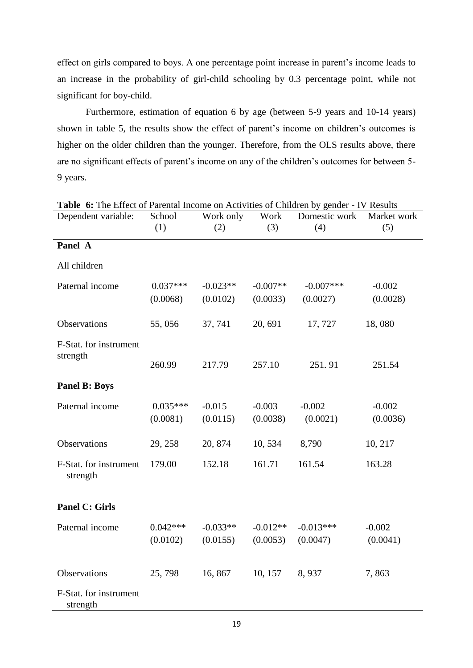effect on girls compared to boys. A one percentage point increase in parent's income leads to an increase in the probability of girl-child schooling by 0.3 percentage point, while not significant for boy-child.

Furthermore, estimation of equation 6 by age (between 5-9 years and 10-14 years) shown in table 5, the results show the effect of parent's income on children's outcomes is higher on the older children than the younger. Therefore, from the OLS results above, there are no significant effects of parent's income on any of the children's outcomes for between 5- 9 years.

| Dependent variable:                | School<br>(1) | Work only<br>(2) | Work<br>(3) | Domestic work<br>(4) | Market work<br>(5) |
|------------------------------------|---------------|------------------|-------------|----------------------|--------------------|
| Panel A                            |               |                  |             |                      |                    |
|                                    |               |                  |             |                      |                    |
| All children                       |               |                  |             |                      |                    |
| Paternal income                    | $0.037***$    | $-0.023**$       | $-0.007**$  | $-0.007***$          | $-0.002$           |
|                                    | (0.0068)      | (0.0102)         | (0.0033)    | (0.0027)             | (0.0028)           |
| Observations                       | 55,056        | 37, 741          | 20, 691     | 17,727               | 18,080             |
| F-Stat. for instrument             |               |                  |             |                      |                    |
| strength                           | 260.99        | 217.79           | 257.10      | 251.91               | 251.54             |
| <b>Panel B: Boys</b>               |               |                  |             |                      |                    |
| Paternal income                    | $0.035***$    | $-0.015$         | $-0.003$    | $-0.002$             | $-0.002$           |
|                                    | (0.0081)      | (0.0115)         | (0.0038)    | (0.0021)             | (0.0036)           |
| Observations                       | 29, 258       | 20, 874          | 10,534      | 8,790                | 10, 217            |
| F-Stat. for instrument<br>strength | 179.00        | 152.18           | 161.71      | 161.54               | 163.28             |
| <b>Panel C: Girls</b>              |               |                  |             |                      |                    |
| Paternal income                    | $0.042***$    | $-0.033**$       | $-0.012**$  | $-0.013***$          | $-0.002$           |
|                                    | (0.0102)      | (0.0155)         | (0.0053)    | (0.0047)             | (0.0041)           |
| Observations                       | 25,798        | 16,867           | 10, 157     | 8,937                | 7,863              |
| F-Stat. for instrument<br>strength |               |                  |             |                      |                    |

**Table 6:** The Effect of Parental Income on Activities of Children by gender - IV Results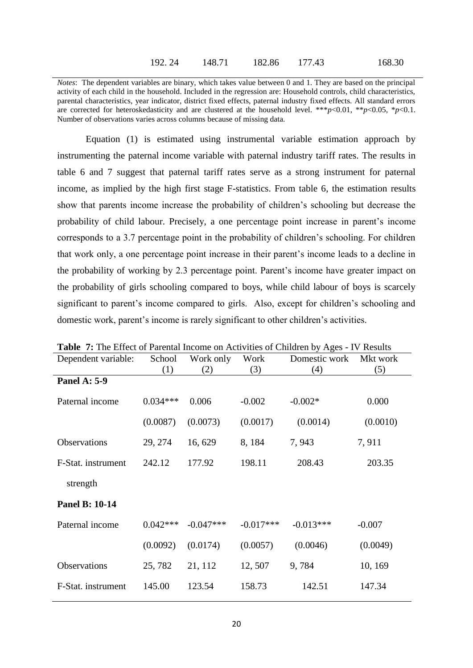*Notes*: The dependent variables are binary, which takes value between 0 and 1. They are based on the principal activity of each child in the household. Included in the regression are: Household controls, child characteristics, parental characteristics, year indicator, district fixed effects, paternal industry fixed effects. All standard errors are corrected for heteroskedasticity and are clustered at the household level. \*\*\**p*<0.01, \*\**p*<0.05, \**p*<0.1. Number of observations varies across columns because of missing data.

Equation (1) is estimated using instrumental variable estimation approach by instrumenting the paternal income variable with paternal industry tariff rates. The results in table 6 and 7 suggest that paternal tariff rates serve as a strong instrument for paternal income, as implied by the high first stage F-statistics. From table 6, the estimation results show that parents income increase the probability of children's schooling but decrease the probability of child labour. Precisely, a one percentage point increase in parent's income corresponds to a 3.7 percentage point in the probability of children's schooling. For children that work only, a one percentage point increase in their parent's income leads to a decline in the probability of working by 2.3 percentage point. Parent's income have greater impact on the probability of girls schooling compared to boys, while child labour of boys is scarcely significant to parent's income compared to girls. Also, except for children's schooling and domestic work, parent's income is rarely significant to other children's activities.

| <b>Table 7:</b> The Effect of Parental income on Activities of Children by Ages - IV Results |            |             |             |               |          |  |
|----------------------------------------------------------------------------------------------|------------|-------------|-------------|---------------|----------|--|
| Dependent variable:                                                                          | School     | Work only   | Work        | Domestic work | Mkt work |  |
|                                                                                              | (1)        | (2)         | (3)         | (4)           | (5)      |  |
| <b>Panel A: 5-9</b>                                                                          |            |             |             |               |          |  |
| Paternal income                                                                              | $0.034***$ | 0.006       | $-0.002$    | $-0.002*$     | 0.000    |  |
|                                                                                              | (0.0087)   | (0.0073)    | (0.0017)    | (0.0014)      | (0.0010) |  |
| Observations                                                                                 | 29, 274    | 16, 629     | 8,184       | 7,943         | 7,911    |  |
| F-Stat. instrument                                                                           | 242.12     | 177.92      | 198.11      | 208.43        | 203.35   |  |
| strength                                                                                     |            |             |             |               |          |  |
| Panel B: 10-14                                                                               |            |             |             |               |          |  |
| Paternal income                                                                              | $0.042***$ | $-0.047***$ | $-0.017***$ | $-0.013***$   | $-0.007$ |  |
|                                                                                              | (0.0092)   | (0.0174)    | (0.0057)    | (0.0046)      | (0.0049) |  |
| <b>Observations</b>                                                                          | 25,782     | 21, 112     | 12, 507     | 9,784         | 10, 169  |  |
| F-Stat. instrument                                                                           | 145.00     | 123.54      | 158.73      | 142.51        | 147.34   |  |
|                                                                                              |            |             |             |               |          |  |

**Table 7:** The Effect of Parental Income on Activities of Children by Ages - IV Results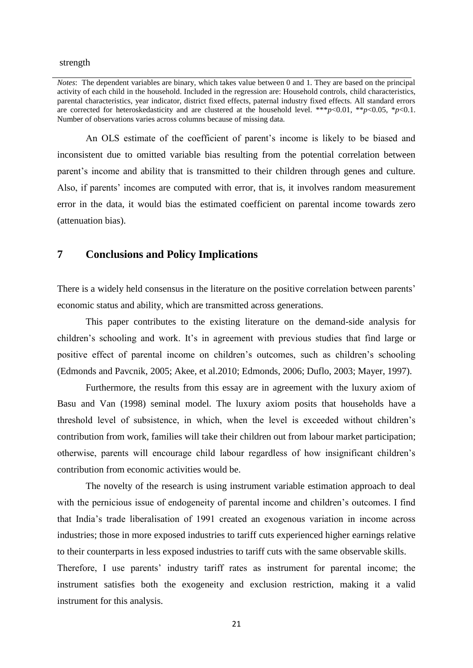strength

An OLS estimate of the coefficient of parent's income is likely to be biased and inconsistent due to omitted variable bias resulting from the potential correlation between parent's income and ability that is transmitted to their children through genes and culture. Also, if parents' incomes are computed with error, that is, it involves random measurement error in the data, it would bias the estimated coefficient on parental income towards zero (attenuation bias).

## **7 Conclusions and Policy Implications**

There is a widely held consensus in the literature on the positive correlation between parents' economic status and ability, which are transmitted across generations.

This paper contributes to the existing literature on the demand-side analysis for children's schooling and work. It's in agreement with previous studies that find large or positive effect of parental income on children's outcomes, such as children's schooling (Edmonds and Pavcnik, 2005; Akee, et al.2010; Edmonds, 2006; Duflo, 2003; Mayer, 1997).

Furthermore, the results from this essay are in agreement with the luxury axiom of Basu and Van (1998) seminal model. The luxury axiom posits that households have a threshold level of subsistence, in which, when the level is exceeded without children's contribution from work, families will take their children out from labour market participation; otherwise, parents will encourage child labour regardless of how insignificant children's contribution from economic activities would be.

The novelty of the research is using instrument variable estimation approach to deal with the pernicious issue of endogeneity of parental income and children's outcomes. I find that India's trade liberalisation of 1991 created an exogenous variation in income across industries; those in more exposed industries to tariff cuts experienced higher earnings relative to their counterparts in less exposed industries to tariff cuts with the same observable skills.

Therefore, I use parents' industry tariff rates as instrument for parental income; the instrument satisfies both the exogeneity and exclusion restriction, making it a valid instrument for this analysis.

*Notes*: The dependent variables are binary, which takes value between 0 and 1. They are based on the principal activity of each child in the household. Included in the regression are: Household controls, child characteristics, parental characteristics, year indicator, district fixed effects, paternal industry fixed effects. All standard errors are corrected for heteroskedasticity and are clustered at the household level. \*\*\**p*<0.01, \*\**p*<0.05, \**p*<0.1. Number of observations varies across columns because of missing data.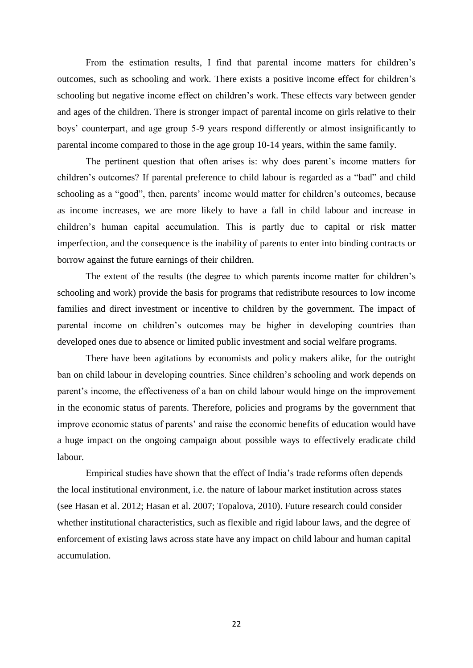From the estimation results, I find that parental income matters for children's outcomes, such as schooling and work. There exists a positive income effect for children's schooling but negative income effect on children's work. These effects vary between gender and ages of the children. There is stronger impact of parental income on girls relative to their boys' counterpart, and age group 5-9 years respond differently or almost insignificantly to parental income compared to those in the age group 10-14 years, within the same family.

The pertinent question that often arises is: why does parent's income matters for children's outcomes? If parental preference to child labour is regarded as a "bad" and child schooling as a "good", then, parents' income would matter for children's outcomes, because as income increases, we are more likely to have a fall in child labour and increase in children's human capital accumulation. This is partly due to capital or risk matter imperfection, and the consequence is the inability of parents to enter into binding contracts or borrow against the future earnings of their children.

The extent of the results (the degree to which parents income matter for children's schooling and work) provide the basis for programs that redistribute resources to low income families and direct investment or incentive to children by the government. The impact of parental income on children's outcomes may be higher in developing countries than developed ones due to absence or limited public investment and social welfare programs.

There have been agitations by economists and policy makers alike, for the outright ban on child labour in developing countries. Since children's schooling and work depends on parent's income, the effectiveness of a ban on child labour would hinge on the improvement in the economic status of parents. Therefore, policies and programs by the government that improve economic status of parents' and raise the economic benefits of education would have a huge impact on the ongoing campaign about possible ways to effectively eradicate child labour.

Empirical studies have shown that the effect of India's trade reforms often depends the local institutional environment, i.e. the nature of labour market institution across states (see Hasan et al. 2012; Hasan et al. 2007; Topalova, 2010). Future research could consider whether institutional characteristics, such as flexible and rigid labour laws, and the degree of enforcement of existing laws across state have any impact on child labour and human capital accumulation.

22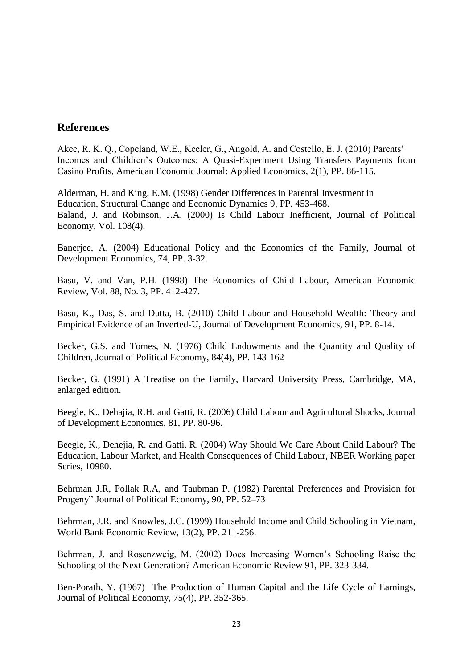# **References**

Akee, R. K. Q., Copeland, W.E., Keeler, G., Angold, A. and Costello, E. J. (2010) Parents' Incomes and Children's Outcomes: A Quasi-Experiment Using Transfers Payments from Casino Profits, American Economic Journal: Applied Economics, 2(1), PP. 86-115.

Alderman, H. and King, E.M. (1998) Gender Differences in Parental Investment in Education, Structural Change and Economic Dynamics 9, PP. 453-468. Baland, J. and Robinson, J.A. (2000) Is Child Labour Inefficient, Journal of Political Economy, Vol. 108(4).

Banerjee, A. (2004) Educational Policy and the Economics of the Family, Journal of Development Economics, 74, PP. 3-32.

Basu, V. and Van, P.H. (1998) The Economics of Child Labour, American Economic Review, Vol. 88, No. 3, PP. 412-427.

Basu, K., Das, S. and Dutta, B. (2010) Child Labour and Household Wealth: Theory and Empirical Evidence of an Inverted-U, Journal of Development Economics, 91, PP. 8-14.

Becker, G.S. and Tomes, N. (1976) Child Endowments and the Quantity and Quality of Children, Journal of Political Economy, 84(4), PP. 143-162

Becker, G. (1991) A Treatise on the Family, Harvard University Press, Cambridge, MA, enlarged edition.

Beegle, K., Dehajia, R.H. and Gatti, R. (2006) Child Labour and Agricultural Shocks, Journal of Development Economics, 81, PP. 80-96.

Beegle, K., Dehejia, R. and Gatti, R. (2004) Why Should We Care About Child Labour? The Education, Labour Market, and Health Consequences of Child Labour, NBER Working paper Series, 10980.

Behrman J.R, Pollak R.A, and Taubman P. (1982) Parental Preferences and Provision for Progeny" Journal of Political Economy, 90, PP. 52–73

Behrman, J.R. and Knowles, J.C. (1999) Household Income and Child Schooling in Vietnam, World Bank Economic Review, 13(2), PP. 211-256.

Behrman, J. and Rosenzweig, M. (2002) Does Increasing Women's Schooling Raise the Schooling of the Next Generation? American Economic Review 91, PP. 323-334.

Ben-Porath, Y. (1967) The Production of Human Capital and the Life Cycle of Earnings, Journal of Political Economy, 75(4), PP. 352-365.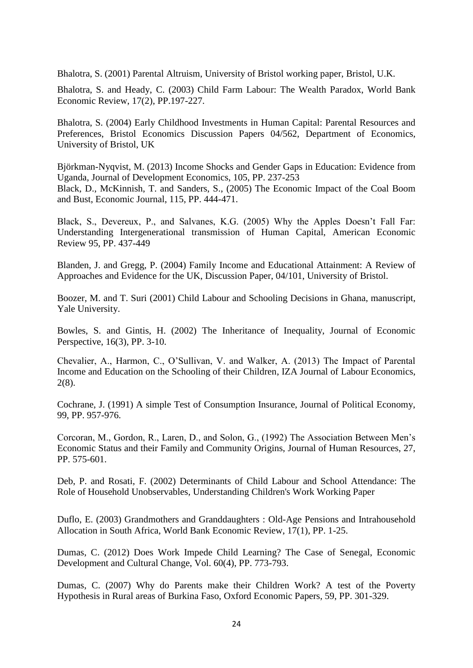Bhalotra, S. (2001) Parental Altruism, University of Bristol working paper, Bristol, U.K.

Bhalotra, S. and Heady, C. (2003) Child Farm Labour: The Wealth Paradox, World Bank Economic Review, 17(2), PP.197-227.

Bhalotra, S. (2004) [Early Childhood Investments in Human Capital: Parental Resources and](http://ideas.repec.org/p/bri/uobdis/04-562.html)  [Preferences,](http://ideas.repec.org/p/bri/uobdis/04-562.html) [Bristol Economics Discussion Papers](http://ideas.repec.org/s/bri/uobdis.html) 04/562, Department of Economics, University of Bristol, UK

[Björkman-Nyqvist,](http://www.sciencedirect.com/science/article/pii/S0304387813001120) M. (2013) Income Shocks and Gender Gaps in Education: Evidence from Uganda, Journal of Development Economics, 105, PP. 237-253 Black, D., McKinnish, T. and Sanders, S., (2005) The Economic Impact of the Coal Boom and Bust, Economic Journal, 115, PP. 444-471.

Black, S., Devereux, P., and Salvanes, K.G. (2005) Why the Apples Doesn't Fall Far: Understanding Intergenerational transmission of Human Capital, American Economic Review 95, PP. 437-449

Blanden, J. and Gregg, P. (2004) Family Income and Educational Attainment: A Review of Approaches and Evidence for the UK, Discussion Paper, 04/101, University of Bristol.

Boozer, M. and T. Suri (2001) Child Labour and Schooling Decisions in Ghana, manuscript, Yale University.

Bowles, S. and Gintis, H. (2002) The Inheritance of Inequality, Journal of Economic Perspective, 16(3), PP. 3-10.

Chevalier, A., Harmon, C., O'Sullivan, V. and Walker, A. (2013) The Impact of Parental Income and Education on the Schooling of their Children, IZA Journal of Labour Economics, 2(8).

Cochrane, J. (1991) A simple Test of Consumption Insurance, Journal of Political Economy, 99, PP. 957-976.

Corcoran, M., Gordon, R., Laren, D., and Solon, G., (1992) The Association Between Men's Economic Status and their Family and Community Origins, Journal of Human Resources, 27, PP. 575-601.

Deb, P. and Rosati, F. (2002) Determinants of Child Labour and School Attendance: The Role of Household Unobservables, Understanding Children's Work Working Paper

Duflo, E. (2003) Grandmothers and Granddaughters : Old-Age Pensions and Intrahousehold Allocation in South Africa, World Bank Economic Review, 17(1), PP. 1-25.

Dumas, C. (2012) Does Work Impede Child Learning? The Case of Senegal, Economic Development and Cultural Change, Vol. 60(4), PP. 773-793.

Dumas, C. (2007) Why do Parents make their Children Work? A test of the Poverty Hypothesis in Rural areas of Burkina Faso, Oxford Economic Papers, 59, PP. 301-329.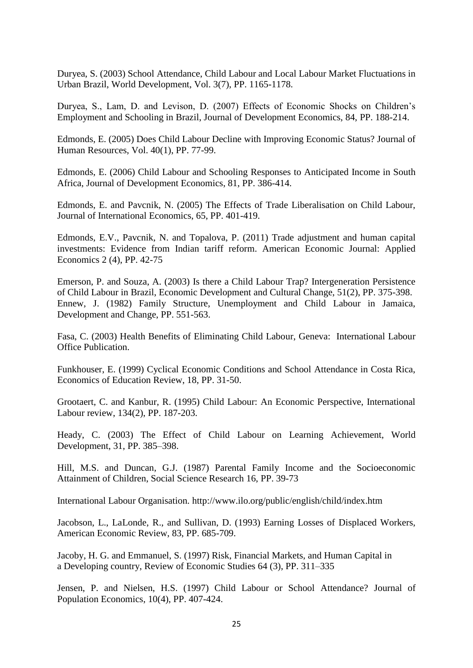Duryea, S. (2003) School Attendance, Child Labour and Local Labour Market Fluctuations in Urban Brazil, World Development, Vol. 3(7), PP. 1165-1178.

Duryea, S., Lam, D. and Levison, D. (2007) Effects of Economic Shocks on Children's Employment and Schooling in Brazil, Journal of Development Economics, 84, PP. 188-214.

Edmonds, E. (2005) Does Child Labour Decline with Improving Economic Status? Journal of Human Resources, Vol. 40(1), PP. 77-99.

Edmonds, E. (2006) Child Labour and Schooling Responses to Anticipated Income in South Africa, Journal of Development Economics, 81, PP. 386-414.

Edmonds, E. and Pavcnik, N. (2005) The Effects of Trade Liberalisation on Child Labour, Journal of International Economics, 65, PP. 401-419.

Edmonds, E.V., Pavcnik, N. and Topalova, P. (2011) Trade adjustment and human capital investments: Evidence from Indian tariff reform. American Economic Journal: Applied Economics 2 (4), PP. 42-75

Emerson, P. and Souza, A. (2003) Is there a Child Labour Trap? Intergeneration Persistence of Child Labour in Brazil, Economic Development and Cultural Change, 51(2), PP. 375-398. Ennew, J. (1982) Family Structure, Unemployment and Child Labour in Jamaica, Development and Change, PP. 551-563.

Fasa, C. (2003) Health Benefits of Eliminating Child Labour, Geneva: International Labour Office Publication.

Funkhouser, E. (1999) Cyclical Economic Conditions and School Attendance in Costa Rica, Economics of Education Review, 18, PP. 31-50.

Grootaert, C. and Kanbur, R. (1995) Child Labour: An Economic Perspective, International Labour review, 134(2), PP. 187-203.

Heady, C. (2003) The Effect of Child Labour on Learning Achievement, World Development, 31, PP. 385–398.

Hill, M.S. and Duncan, G.J. (1987) Parental Family Income and the Socioeconomic Attainment of Children, Social Science Research 16, PP. 39-73

International Labour Organisation.<http://www.ilo.org/public/english/child/index.htm>

Jacobson, L., LaLonde, R., and Sullivan, D. (1993) Earning Losses of Displaced Workers, American Economic Review, 83, PP. 685-709.

Jacoby, H. G. and Emmanuel, S. (1997) Risk, Financial Markets, and Human Capital in a Developing country, Review of Economic Studies 64 (3), PP. 311–335

Jensen, P. and Nielsen, H.S. (1997) Child Labour or School Attendance? Journal of Population Economics, 10(4), PP. 407-424.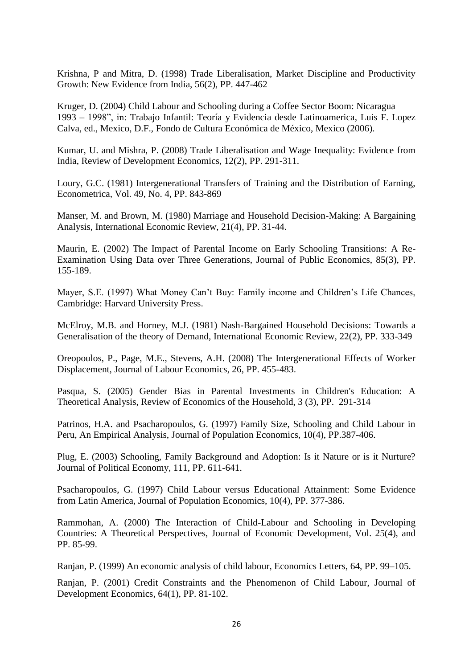Krishna, P and Mitra, D. (1998) Trade Liberalisation, Market Discipline and Productivity Growth: New Evidence from India, 56(2), PP. 447-462

Kruger, D. (2004) Child Labour and Schooling during a Coffee Sector Boom: Nicaragua 1993 – 1998", in: Trabajo Infantil: Teoría y Evidencia desde Latinoamerica, Luis F. Lopez Calva, ed., Mexico, D.F., Fondo de Cultura Económica de México, Mexico (2006).

Kumar, U. and Mishra, P. (2008) Trade Liberalisation and Wage Inequality: Evidence from India, Review of Development Economics, 12(2), PP. 291-311.

Loury, G.C. (1981) Intergenerational Transfers of Training and the Distribution of Earning, Econometrica, Vol. 49, No. 4, PP. 843-869

Manser, M. and Brown, M. (1980) Marriage and Household Decision-Making: A Bargaining Analysis, International Economic Review, 21(4), PP. 31-44.

Maurin, E. (2002) The Impact of Parental Income on Early Schooling Transitions: A Re-Examination Using Data over Three Generations, Journal of Public Economics, 85(3), PP. 155-189.

Mayer, S.E. (1997) What Money Can't Buy: Family income and Children's Life Chances, Cambridge: Harvard University Press.

McElroy, M.B. and Horney, M.J. (1981) Nash-Bargained Household Decisions: Towards a Generalisation of the theory of Demand, International Economic Review, 22(2), PP. 333-349

Oreopoulos, P., Page, M.E., Stevens, A.H. (2008) The Intergenerational Effects of Worker Displacement, Journal of Labour Economics, 26, PP. 455-483.

Pasqua, S. (2005) Gender Bias in Parental Investments in Children's Education: A Theoretical Analysis, Review of Economics of the Household, 3 (3), PP. 291-314

Patrinos, H.A. and Psacharopoulos, G. (1997) Family Size, Schooling and Child Labour in Peru, An Empirical Analysis, Journal of Population Economics, 10(4), PP.387-406.

Plug, E. (2003) Schooling, Family Background and Adoption: Is it Nature or is it Nurture? Journal of Political Economy, 111, PP. 611-641.

Psacharopoulos, G. (1997) Child Labour versus Educational Attainment: Some Evidence from Latin America, Journal of Population Economics, 10(4), PP. 377-386.

Rammohan, A. (2000) The Interaction of Child-Labour and Schooling in Developing Countries: A Theoretical Perspectives, Journal of Economic Development, Vol. 25(4), and PP. 85-99.

Ranjan, P. (1999) An economic analysis of child labour, Economics Letters, 64, PP. 99–105.

Ranjan, P. (2001) Credit Constraints and the Phenomenon of Child Labour, Journal of Development Economics, 64(1), PP. 81-102.